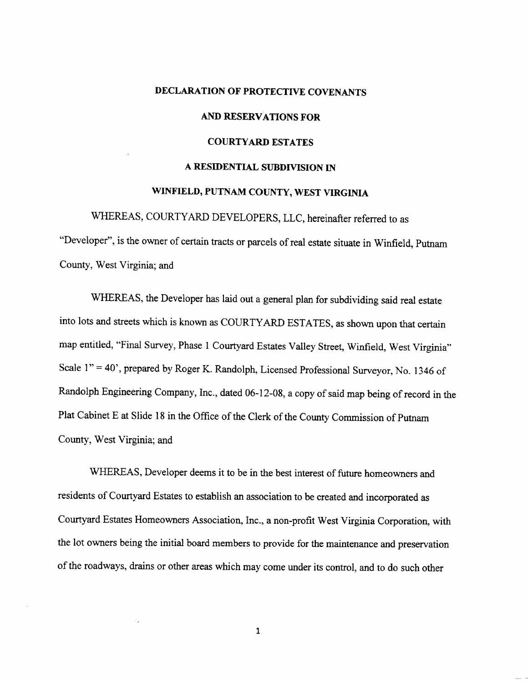# **DECLARATION OF PROTECTIVE COVENANTS AND RESERVATIONS FOR COURTYARD ESTATES A RESIDENTIAL SUBDIVISION IN WINFIELD, PUTNAM COUNTY, WEST VIRGINIA**

WHEREAS, COURTYARD DEVELOPERS, LLC, hereinafter referred to as "Developer", is the owner of certain tracts or parcels of real estate situate in Winfield, Putnam County, West Virginia; and

WHEREAS, the Developer has laid out a general plan for subdividing said real estate into lots and streets which is known as COURTYARD ESTATES, as shown upon that certain map entitled, "Final Survey, Phase 1 Courtyard Estates Valley Street, Winfield, West Virginia" Scale 1" = 40', prepared by Roger K. Randolph, Licensed Professional Surveyor, No. 1346 of Randolph Engineering Company, Inc., dated 06-12-08, a copy of said map being of record in the Plat Cabinet E at Slide 18 in the Office of the Clerk of the County Commission of Putnam County, West Virginia; and

WHEREAS, Developer deems it to be in the best interest of future homeowners and residents of Courtyard Estates to establish an association to be created and incorporated as Courtyard Estates Homeowners Association, Inc., a non-profit West Virginia Corporation, with the lot owners being the initial board members to provide for the maintenance and preservation of the roadways, drains or other areas which may come under its control, and to do such other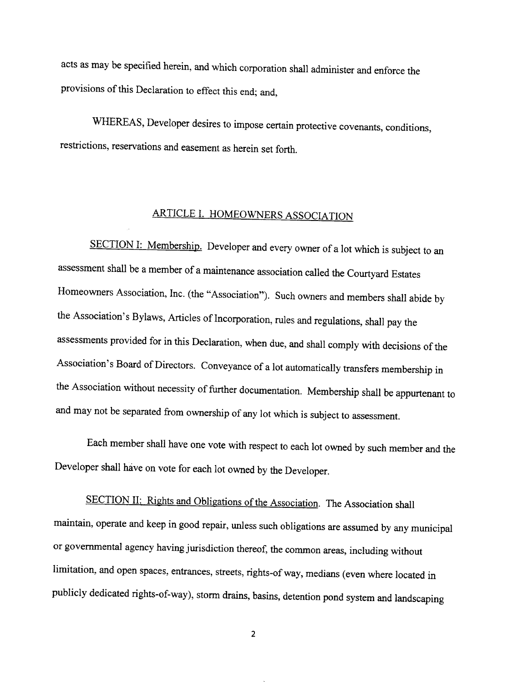acts as may be specified herein, and which corporation shall administer and enforce the provisions of this Declaration to effect this end; and,

WHEREAS, Developer desires to impose certain protective covenants, conditions, restrictions, reservations and easement as herein set forth.

### ARTICLE I. HOMEOWNERS ASSOCIATION

SECTION I: Membership. Developer and every owner of a lot which is subject to an assessment shall be a member of a maintenance association called the Courtyard Estates Homeowners Association, Inc. (the "Association"). Such owners and members shall abide by the Association's Bylaws, Articles of Incorporation, rules and regulations, shall pay the assessments provided for in this Declaration, when due, and shall comply with decisions of the Association's Board of Directors. Conveyance of a lot automatically transfers membership in the Association without necessity of further documentation. Membership shall be appurtenant to and may not be separated from ownership of any lot which is subject to assessment.

Each member shall have one vote with respect to each lot owned by such member and the Developer shall have on vote for each lot owned by the Developer.

SECTION II: Rights and Obligations of the Association. The Association shall maintain, operate and keep in good repair, unless such obligations are assumed by any municipal or governmental agency having jurisdiction thereof, the common areas, including without limitation, and open spaces, entrances, streets, rights-of way, medians (even where located in publicly dedicated rights-of-way), storm drains, basins, detention pond system and landscaping

 $\overline{2}$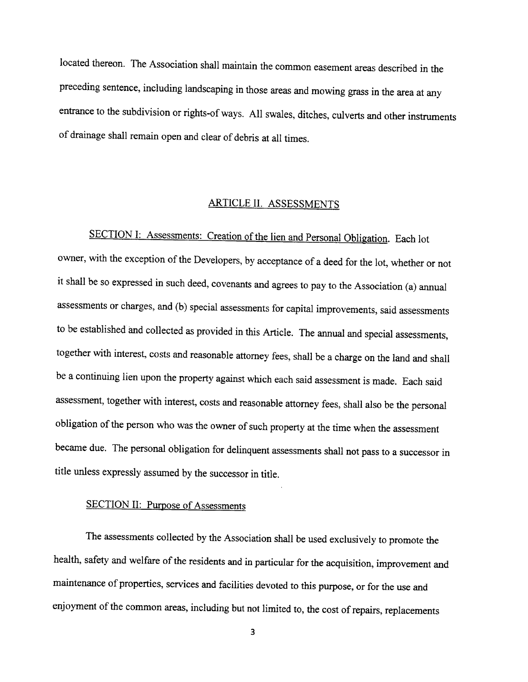located thereon. The Association shall maintain the common easement areas described in the preceding sentence, including landscaping in those areas and mowing grass in the area at any entrance to the subdivision or rights-of ways. All swales, ditches, culverts and other instruments of drainage shall remain open and clear of debris at all times.

## ARTICLE II. ASSESSMENTS

SECTION I: Assessments: Creation of the lien and Personal Obligation. Each lot owner, with the exception of the Developers, by acceptance of a deed for the lot, whether or not it shall be so expressed in such deed, covenants and agrees to pay to the Association (a) annual assessments or charges, and (b) special assessments for capital improvements, said assessments to be established and collected as provided in this Article. The annual and special assessments, together with interest, costs and reasonable attorney fees, shall be a charge on the land and shall be a continuing lien upon the property against which each said assessment is made. Each said assessment, together with interest, costs and reasonable attorney fees, shall also be the personal obligation of the person who was the owner of such property at the time when the assessment became due. The personal obligation for delinquent assessments shall not pass to a successor in title unless expressly assumed by the successor in title.

### SECTION II: Purpose of Assessments

The assessments collected by the Association shall be used exclusively to promote the health, safety and welfare of the residents and in particular for the acquisition, improvement and maintenance of properties, services and facilities devoted to this purpose, or for the use and enjoyment of the common areas, including but not limited to, the cost of repairs, replacements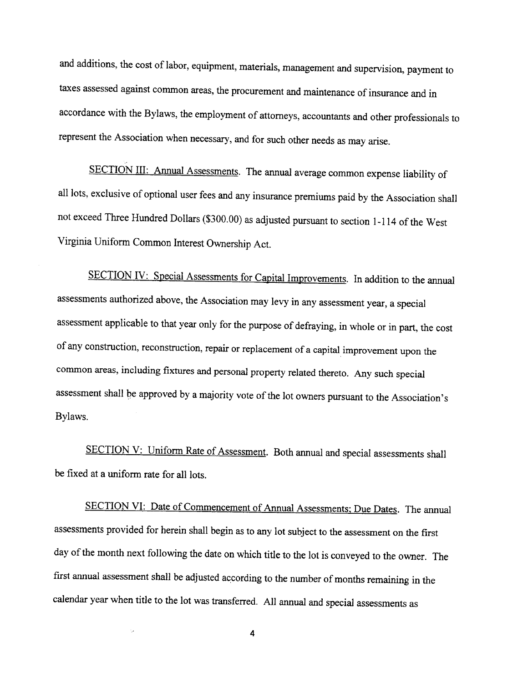and additions, the cost of labor, equipment, materials, management and supervision, payment to taxes assessed against common areas, the procurement and maintenance of insurance and in accordance with the Bylaws, the employment of attorneys, accountants and other professionals to represent the Association when necessary, and for such other needs as may arise.

SECTION III: Annual Assessments. The annual average common expense liability of all lots, exclusive of optional user fees and any insurance premiums paid by the Association shall not exceed Three Hundred Dollars (\$300.00) as adjusted pursuant to section 1-114 of the West Virginia Uniform Common Interest Ownership Act.

SECTION IV: Special Assessments for Capital Improvements. In addition to the annual assessments authorized above, the Association may levy in any assessment year, a special assessment applicable to that year only for the purpose of defraying, in whole or in part, the cost of any construction, reconstruction, repair or replacement of a capital improvement upon the common areas, including fixtures and personal property related thereto. Any such special assessment shall be approved by a majority vote of the lot owners pursuant to the Association's Bylaws.

SECTION V: Uniform Rate of Assessment. Both annual and special assessments shall be fixed at a uniform rate for all lots.

SECTION VI: Date of Commencement of Annual Assessments; Due Dates. The annual assessments provided for herein shall begin as to any lot subject to the assessment on the first day of the month next following the date on which title to the lot is conveyed to the owner. The first annual assessment shall be adjusted according to the number of months remaining in the calendar year when title to the lot was transferred. All annual and special assessments as

4

i.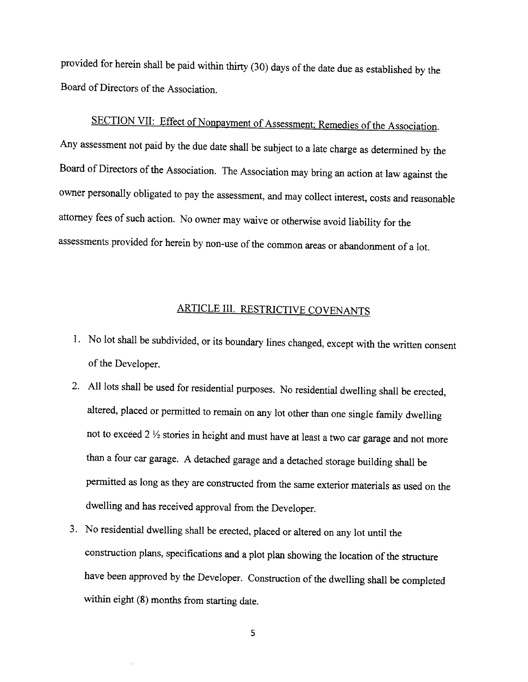provided for herein shall be paid within thirty (30) days of the date due as established by the Board of Directors of the Association.

SECTION VII: Effect of Nonpayment of Assessment; Remedies of the Association. Any assessment not paid by the due date shall be subject to a late charge as determined by the Board of Directors of the Association. The Association may bring an action at law against the owner personally obligated to pay the assessment, and may collect interest, costs and reasonable attorney fees of such action. No owner may waive or otherwise avoid liability for the assessments provided for herein by non-use of the common areas or abandonment of a lot.

## ARTICLE III. RESTRICTIVE COVENANTS

- 1. No lot shall be subdivided, or its boundary lines changed, except with the written consent of the Developer.
- 2. All lots shall be used for residential purposes. No residential dwelling shall be erected, altered, placed or permitted to remain on any lot other than one single family dwelling not to exceed 2  $\frac{1}{2}$  stories in height and must have at least a two car garage and not more than a four car garage. A detached garage and a detached storage building shall be permitted as long as they are constructed from the same exterior materials as used on the dwelling and has received approval from the Developer.
- 3. No residential dwelling shall be erected, placed or altered on any lot until the construction plans, specifications and a plot plan showing the location of the structure have been approved by the Developer. Construction of the dwelling shall be completed within eight  $(8)$  months from starting date.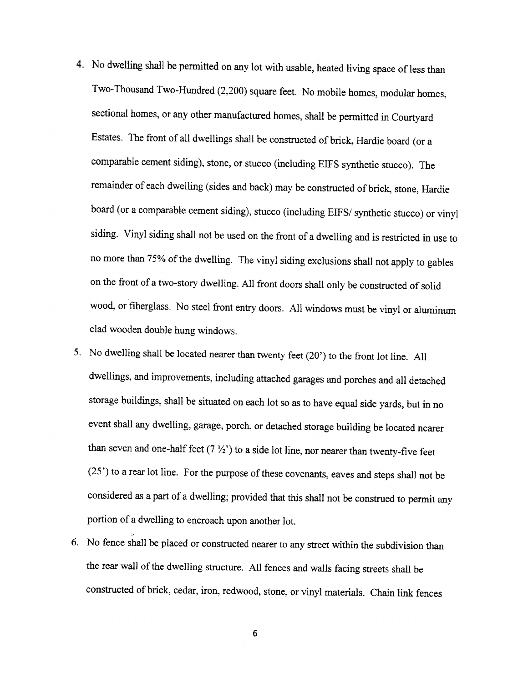- 4. No dwelling shall be permitted on any lot with usable, heated living space of less than Two-Thousand Two-Hundred (2,200) square feet. No mobile homes, modular homes, sectional homes, or any other manufactured homes, shall be permitted in Courtyard Estates. The front of all dwellings shall be constructed of brick, Hardie board (or a comparable cement siding), stone, or stucco (including EIFS synthetic stucco). The remainder of each dwelling (sides and back) may be constructed of brick, stone, Hardie board (or a comparable cement siding), stucco (including EIFS/ synthetic stucco) or vinyl siding. Vinyl siding shall not be used on the front of a dwelling and is restricted in use to no more than 75% of the dwelling. The vinyl siding exclusions shall not apply to gables on the front of a two-story dwelling. All front doors shall only be constructed of solid wood, or fiberglass. No steel front entry doors. All windows must be vinyl or aluminum clad wooden double hung windows.
- 5. No dwelling shall be located nearer than twenty feet  $(20')$  to the front lot line. All dwellings, and improvements, including attached garages and porches and all detached storage buildings, shall be situated on each lot so as to have equal side yards, but in no event shall any dwelling, garage, porch, or detached storage building be located nearer than seven and one-half feet  $(7 \frac{1}{2})$  to a side lot line, nor nearer than twenty-five feet  $(25')$  to a rear lot line. For the purpose of these covenants, eaves and steps shall not be considered as a part of a dwelling; provided that this shall not be construed to permit any portion of a dwelling to encroach upon another lot.
- 6. No fence shall be placed or constructed nearer to any street within the subdivision than the rear wall of the dwelling structure. All fences and walls facing streets shall be constructed of brick, cedar, iron, redwood, stone, or vinyl materials. Chain link fences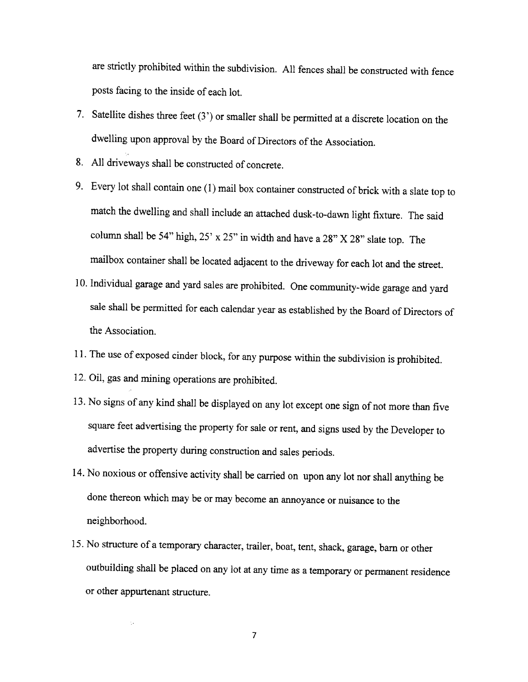are strictly prohibited within the subdivision. All fences shall be constructed with fence posts facing to the inside of each lot.

- 7. Satellite dishes three feet  $(3')$  or smaller shall be permitted at a discrete location on the dwelling upon approval by the Board of Directors of the Association.
- 8. All driveways shall be constructed of concrete.
- 9. Every lot shall contain one (1) mail box container constructed of brick with a slate top to match the dwelling and shall include an attached dusk-to-dawn light fixture. The said column shall be 54" high,  $25' \times 25''$  in width and have a  $28'' \times 28''$  slate top. The mailbox container shall be located adjacent to the driveway for each lot and the street.
- 10. Individual garage and yard sales are prohibited. One community-wide garage and yard sale shall be permitted for each calendar year as established by the Board of Directors of the Association.
- 11. The use of exposed cinder block, for any purpose within the subdivision is prohibited.
- 12. Oil, gas and mining operations are prohibited.
- 13. No signs of any kind shall be displayed on any lot except one sign of not more than five square feet advertising the property for sale or rent, and signs used by the Developer to advertise the property during construction and sales periods.
- 14. No noxious or offensive activity shall be carried on upon any lot nor shall anything be done thereon which may be or may become an annoyance or nuisance to the neighborhood.
- 15. No structure of a temporary character, trailer, boat, tent, shack, garage, barn or other outbuilding shall be placed on any lot at any time as a temporary or permanent residence or other appurtenant structure.

 $\overline{7}$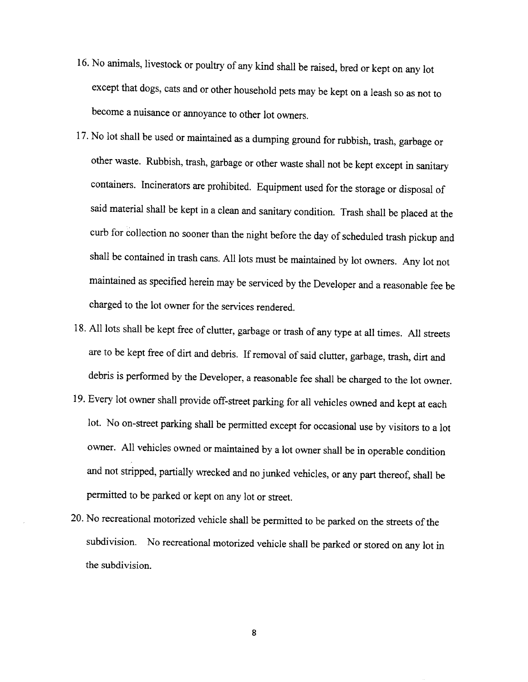- 16. No animals, livestock or poultry of any kind shall be raised, bred or kept on any lot except that dogs, cats and or other household pets may be kept on a leash so as not to become a nuisance or annoyance to other lot owners.
- 17. No lot shall be used or maintained as a dumping ground for rubbish, trash, garbage or other waste. Rubbish, trash, garbage or other waste shall not be kept except in sanitary containers. Incinerators are prohibited. Equipment used for the storage or disposal of said material shall be kept in a clean and sanitary condition. Trash shall be placed at the curb for collection no sooner than the night before the day of scheduled trash pickup and shall be contained in trash cans. All lots must be maintained by lot owners. Any lot not maintained as specified herein may be serviced by the Developer and a reasonable fee be charged to the lot owner for the services rendered.
- 18. All lots shall be kept free of clutter, garbage or trash of any type at all times. All streets are to be kept free of dirt and debris. If removal of said clutter, garbage, trash, dirt and debris is performed by the Developer, a reasonable fee shall be charged to the lot owner.
- 19. Every lot owner shall provide off-street parking for all vehicles owned and kept at each lot. No on-street parking shall be permitted except for occasional use by visitors to a lot owner. All vehicles owned or maintained by a lot owner shall be in operable condition and not stripped, partially wrecked and no junked vehicles, or any part thereof, shall be permitted to be parked or kept on any lot or street.
- 20. No recreational motorized vehicle shall be permitted to be parked on the streets of the subdivision. No recreational motorized vehicle shall be parked or stored on any lot in the subdivision.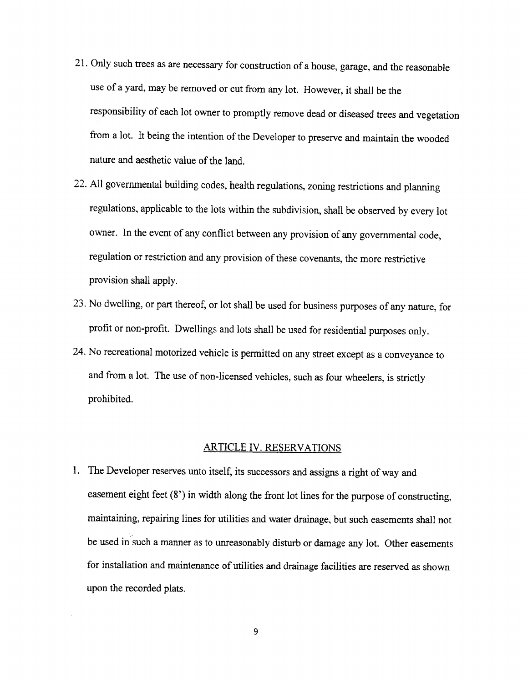- 21. Only such trees as are necessary for construction of a house, garage, and the reasonable use of a yard, may be removed or cut from any lot. However, it shall be the responsibility of each lot owner to promptly remove dead or diseased trees and vegetation from a lot. It being the intention of the Developer to preserve and maintain the wooded nature and aesthetic value of the land.
- 22. All governmental building codes, health regulations, zoning restrictions and planning regulations, applicable to the lots within the subdivision, shall be observed by every lot owner. In the event of any conflict between any provision of any governmental code, regulation or restriction and any provision of these covenants, the more restrictive provision shall apply.
- 23. No dwelling, or part thereof, or lot shall be used for business purposes of any nature, for profit or non-profit. Dwellings and lots shall be used for residential purposes only.
- 24. No recreational motorized vehicle is permitted on any street except as a conveyance to and from a lot. The use of non-licensed vehicles, such as four wheelers, is strictly prohibited.

#### ARTICLE IV. RESERVATIONS

1. The Developer reserves unto itself, its successors and assigns a right of way and easement eight feet  $(8')$  in width along the front lot lines for the purpose of constructing, maintaining, repairing lines for utilities and water drainage, but such easements shall not be used in such a manner as to unreasonably disturb or damage any lot. Other easements for installation and maintenance of utilities and drainage facilities are reserved as shown upon the recorded plats.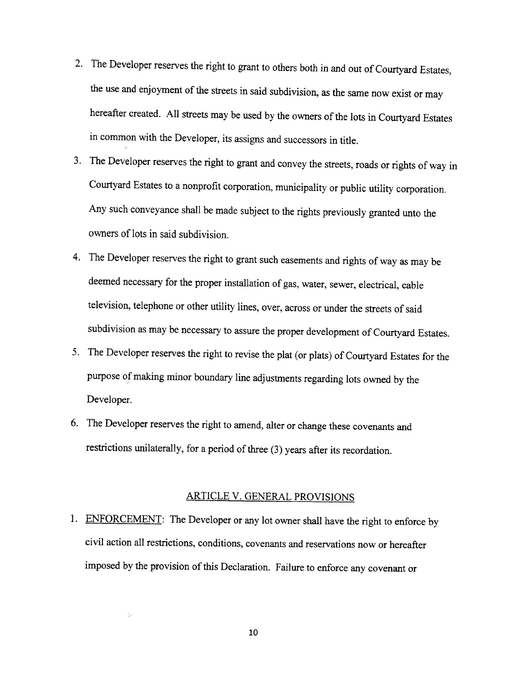- 2. The Developer reserves the right to grant to others both in and out of Courtyard Estates, the use and enjoyment of the streets in said subdivision, as the same now exist or may hereafter created. All streets may be used by the owners of the lots in Courtyard Estates in common with the Developer, its assigns and successors in title.
- 3. The Developer reserves the right to grant and convey the streets, roads or rights of way in Courtyard Estates to a nonprofit corporation, municipality or public utility corporation. Any such conveyance shall be made subject to the rights previously granted unto the owners of lots in said subdivision.
- 4. The Developer reserves the right to grant such easements and rights of way as may be deemed necessary for the proper installation of gas, water, sewer, electrical, cable television, telephone or other utility lines, over, across or under the streets of said subdivision as may be necessary to assure the proper development of Courtyard Estates.
- 5. The Developer reserves the right to revise the plat (or plats) of Courtyard Estates for the purpose of making minor boundary line adjustments regarding lots owned by the Developer.
- 6. The Developer reserves the right to amend, alter or change these covenants and restrictions unilaterally, for a period of three (3) years after its recordation.

#### ARTICLE V. GENERAL PROVISIONS

1. ENFORCEMENT: The Developer or any lot owner shall have the right to enforce by civil action all restrictions, conditions, covenants and reservations now or hereafter imposed by the provision of this Declaration. Failure to enforce any covenant or

÷.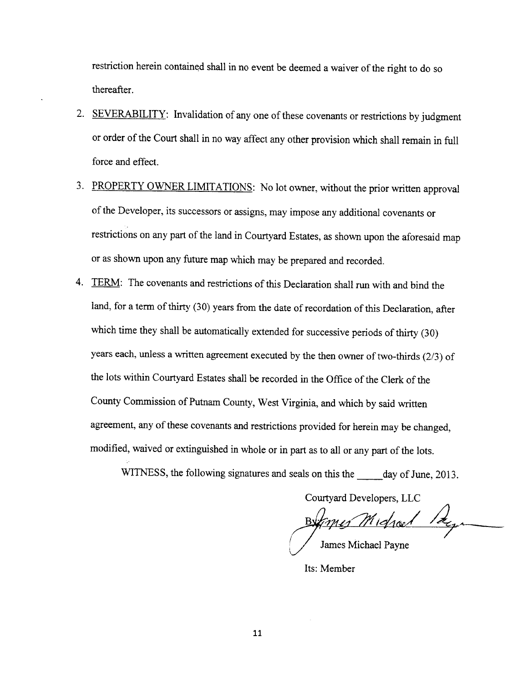restriction herein contained shall in no event be deemed a waiver of the right to do so thereafter.

- 2. SEVERABILITY: Invalidation of any one of these covenants or restrictions by judgment or order of the Court shall in no way affect any other provision which shall remain in full force and effect.
- 3. PROPERTY OWNER LIMITATIONS: No lot owner, without the prior written approval of the Developer, its successors or assigns, may impose any additional covenants or restrictions on any part of the land in Courtyard Estates, as shown upon the aforesaid map or as shown upon any future map which may be prepared and recorded.
- 4. TERM: The covenants and restrictions of this Declaration shall run with and bind the land, for a term of thirty (30) years from the date of recordation of this Declaration, after which time they shall be automatically extended for successive periods of thirty (30) years each, unless a written agreement executed by the then owner of two-thirds  $(2/3)$  of the lots within Courtyard Estates shall be recorded in the Office of the Clerk of the County Commission of Putnam County, West Virginia, and which by said written agreement, any of these covenants and restrictions provided for herein may be changed, modified, waived or extinguished in whole or in part as to all or any part of the lots.

WITNESS, the following signatures and seals on this the \_\_\_\_\_ day of June, 2013.

Courtyard Developers, LLC

mes Michael James Michael Payne

Its: Member